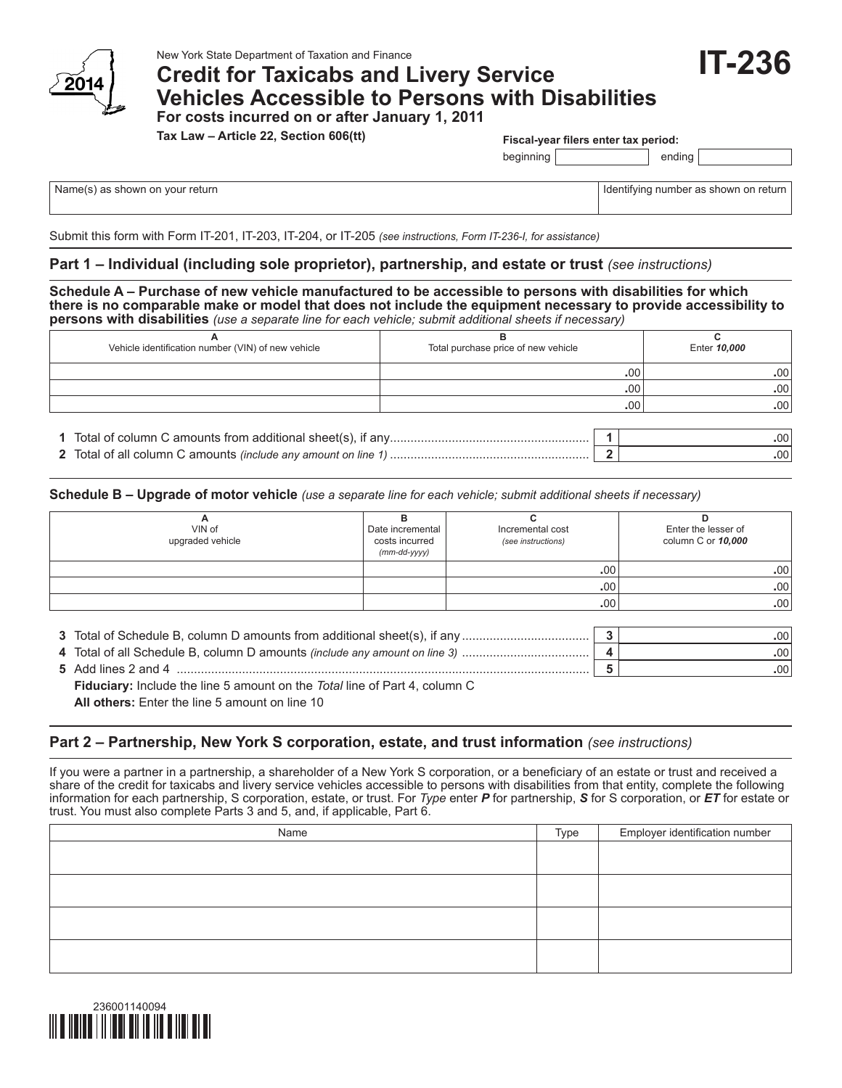

## **Credit for Taxicabs and Livery Service Vehicles Accessible to Persons with Disabilities For costs incurred on or after January 1, 2011**

**Tax Law – Article 22, Section 606(tt)**

**Fiscal-year filers enter tax period:**

beginning ending

Name(s) as shown on your return in the state of the state of the state of the state of the state of the state of the state of the state of the state of the state of the state of the state of the state of the state of the s

**IT-236**

Submit this form with Form IT-201, IT-203, IT-204, or IT-205 *(see instructions, Form IT-236-I, for assistance)*

#### **Part 1 – Individual (including sole proprietor), partnership, and estate or trust** *(see instructions)*

**Schedule A – Purchase of new vehicle manufactured to be accessible to persons with disabilities for which there is no comparable make or model that does not include the equipment necessary to provide accessibility to persons with disabilities** *(use a separate line for each vehicle; submit additional sheets if necessary)*

| Vehicle identification number (VIN) of new vehicle | Total purchase price of new vehicle | Enter 10,000 |                         |  |  |
|----------------------------------------------------|-------------------------------------|--------------|-------------------------|--|--|
|                                                    |                                     |              | .00<br>.00 <sup>1</sup> |  |  |
|                                                    | .00                                 |              |                         |  |  |
|                                                    | .00<br>.00                          |              |                         |  |  |
|                                                    |                                     |              |                         |  |  |
|                                                    |                                     |              | .00                     |  |  |

**2** Total of all column C amounts *(include any amount on line 1)* .......................................................... **2 .**00

**Schedule B – Upgrade of motor vehicle** *(use a separate line for each vehicle; submit additional sheets if necessary)*

| n<br>VIN of<br>upgraded vehicle | Date incremental<br>costs incurred<br>$(mm$ -dd-yyyy) | Incremental cost<br>(see instructions) | D<br>Enter the lesser of<br>column C or 10,000 |
|---------------------------------|-------------------------------------------------------|----------------------------------------|------------------------------------------------|
|                                 |                                                       | .00                                    | .00 <sub>1</sub>                               |
|                                 |                                                       | .00                                    | .00                                            |
|                                 |                                                       | .00                                    | .00 <sub>1</sub>                               |
|                                 |                                                       |                                        |                                                |

| 5 Add lines 2 and 4 |  |
|---------------------|--|
|                     |  |

**Fiduciary:** Include the line 5 amount on the *Total* line of Part 4, column C **All others:** Enter the line 5 amount on line 10

### **Part 2 – Partnership, New York S corporation, estate, and trust information** *(see instructions)*

If you were a partner in a partnership, a shareholder of a New York S corporation, or a beneficiary of an estate or trust and received a share of the credit for taxicabs and livery service vehicles accessible to persons with disabilities from that entity, complete the following information for each partnership, S corporation, estate, or trust. For *Type* enter *P* for partnership, *S* for S corporation, or *ET* for estate or trust. You must also complete Parts 3 and 5, and, if applicable, Part 6.

| Name | Type | Employer identification number |
|------|------|--------------------------------|
|      |      |                                |
|      |      |                                |
|      |      |                                |
|      |      |                                |
|      |      |                                |
|      |      |                                |
|      |      |                                |
|      |      |                                |